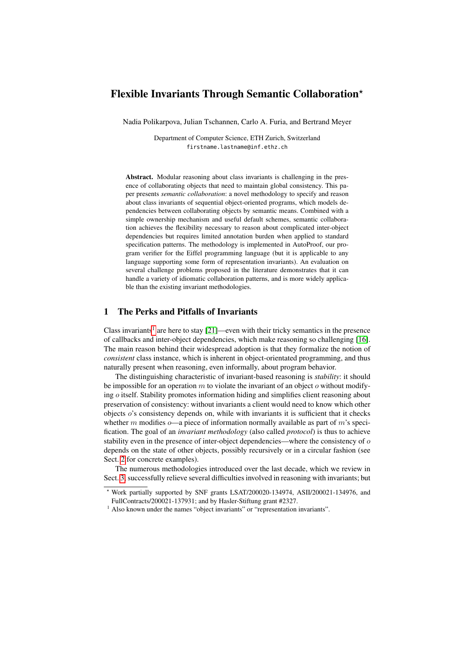# Flexible Invariants Through Semantic Collaboration?

Nadia Polikarpova, Julian Tschannen, Carlo A. Furia, and Bertrand Meyer

Department of Computer Science, ETH Zurich, Switzerland firstname.lastname@inf.ethz.ch

Abstract. Modular reasoning about class invariants is challenging in the presence of collaborating objects that need to maintain global consistency. This paper presents *semantic collaboration*: a novel methodology to specify and reason about class invariants of sequential object-oriented programs, which models dependencies between collaborating objects by semantic means. Combined with a simple ownership mechanism and useful default schemes, semantic collaboration achieves the flexibility necessary to reason about complicated inter-object dependencies but requires limited annotation burden when applied to standard specification patterns. The methodology is implemented in AutoProof, our program verifier for the Eiffel programming language (but it is applicable to any language supporting some form of representation invariants). An evaluation on several challenge problems proposed in the literature demonstrates that it can handle a variety of idiomatic collaboration patterns, and is more widely applicable than the existing invariant methodologies.

# 1 The Perks and Pitfalls of Invariants

Class invariants<sup>[1](#page-0-0)</sup> are here to stay  $[21]$ —even with their tricky semantics in the presence of callbacks and inter-object dependencies, which make reasoning so challenging [\[16\]](#page-15-1). The main reason behind their widespread adoption is that they formalize the notion of *consistent* class instance, which is inherent in object-orientated programming, and thus naturally present when reasoning, even informally, about program behavior.

The distinguishing characteristic of invariant-based reasoning is *stability*: it should be impossible for an operation m to violate the invariant of an object  $o$  without modifying  $\varphi$  itself. Stability promotes information hiding and simplifies client reasoning about preservation of consistency: without invariants a client would need to know which other objects  $o$ 's consistency depends on, while with invariants it is sufficient that it checks whether m modifies  $o$ —a piece of information normally available as part of m's specification. The goal of an *invariant methodology* (also called *protocol*) is thus to achieve stability even in the presence of inter-object dependencies—where the consistency of o depends on the state of other objects, possibly recursively or in a circular fashion (see Sect. [2](#page-1-0) for concrete examples).

The numerous methodologies introduced over the last decade, which we review in Sect. [3,](#page-3-0) successfully relieve several difficulties involved in reasoning with invariants; but

<sup>?</sup> Work partially supported by SNF grants LSAT/200020-134974, ASII/200021-134976, and FullContracts/200021-137931; and by Hasler-Stiftung grant #2327.

<span id="page-0-0"></span><sup>&</sup>lt;sup>1</sup> Also known under the names "object invariants" or "representation invariants".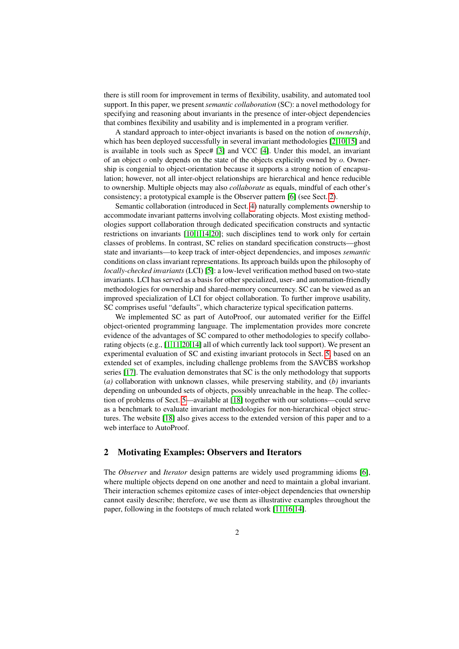there is still room for improvement in terms of flexibility, usability, and automated tool support. In this paper, we present *semantic collaboration* (SC): a novel methodology for specifying and reasoning about invariants in the presence of inter-object dependencies that combines flexibility and usability and is implemented in a program verifier.

A standard approach to inter-object invariants is based on the notion of *ownership*, which has been deployed successfully in several invariant methodologies [\[2,](#page-15-2)[10](#page-15-3)[,15\]](#page-15-4) and is available in tools such as Spec# [\[3\]](#page-15-5) and VCC [\[4\]](#page-15-6). Under this model, an invariant of an object  $\varphi$  only depends on the state of the objects explicitly owned by  $\varphi$ . Ownership is congenial to object-orientation because it supports a strong notion of encapsulation; however, not all inter-object relationships are hierarchical and hence reducible to ownership. Multiple objects may also *collaborate* as equals, mindful of each other's consistency; a prototypical example is the Observer pattern [\[6\]](#page-15-7) (see Sect. [2\)](#page-1-0).

Semantic collaboration (introduced in Sect. [4\)](#page-5-0) naturally complements ownership to accommodate invariant patterns involving collaborating objects. Most existing methodologies support collaboration through dedicated specification constructs and syntactic restrictions on invariants [\[10](#page-15-3)[,1](#page-15-8)[,14](#page-15-9)[,20\]](#page-15-10); such disciplines tend to work only for certain classes of problems. In contrast, SC relies on standard specification constructs—ghost state and invariants—to keep track of inter-object dependencies, and imposes *semantic* conditions on class invariant representations. Its approach builds upon the philosophy of *locally-checked invariants* (LCI) [\[5\]](#page-15-11): a low-level verification method based on two-state invariants. LCI has served as a basis for other specialized, user- and automation-friendly methodologies for ownership and shared-memory concurrency. SC can be viewed as an improved specialization of LCI for object collaboration. To further improve usability, SC comprises useful "defaults", which characterize typical specification patterns.

We implemented SC as part of AutoProof, our automated verifier for the Eiffel object-oriented programming language. The implementation provides more concrete evidence of the advantages of SC compared to other methodologies to specify collaborating objects (e.g., [\[1,](#page-15-8)[11,](#page-15-12)[20](#page-15-10)[,14\]](#page-15-9) all of which currently lack tool support). We present an experimental evaluation of SC and existing invariant protocols in Sect. [5,](#page-12-0) based on an extended set of examples, including challenge problems from the SAVCBS workshop series [\[17\]](#page-15-13). The evaluation demonstrates that SC is the only methodology that supports (*a)* collaboration with unknown classes, while preserving stability, and (*b)* invariants depending on unbounded sets of objects, possibly unreachable in the heap. The collection of problems of Sect. [5—](#page-12-0)available at [\[18\]](#page-15-14) together with our solutions—could serve as a benchmark to evaluate invariant methodologies for non-hierarchical object structures. The website [\[18\]](#page-15-14) also gives access to the extended version of this paper and to a web interface to AutoProof.

# <span id="page-1-0"></span>2 Motivating Examples: Observers and Iterators

The *Observer* and *Iterator* design patterns are widely used programming idioms [\[6\]](#page-15-7), where multiple objects depend on one another and need to maintain a global invariant. Their interaction schemes epitomize cases of inter-object dependencies that ownership cannot easily describe; therefore, we use them as illustrative examples throughout the paper, following in the footsteps of much related work [\[11](#page-15-12)[,16](#page-15-1)[,14\]](#page-15-9).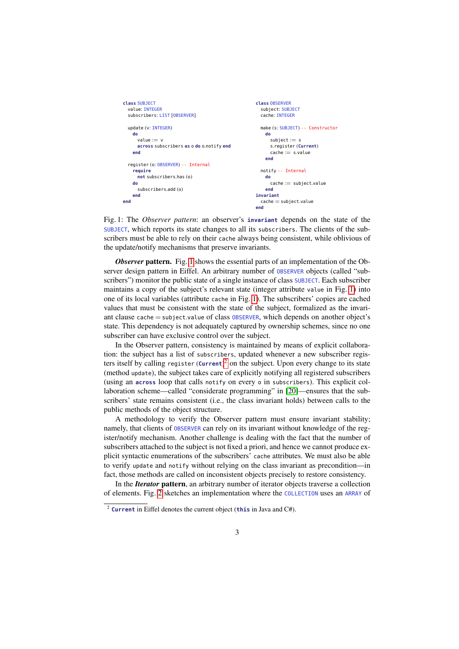```
class SUBJECT
 value: INTEGER
 subscribers: LIST [OBSERVER]
 update (v: INTEGER)
   do
     value := vacross subscribers as o do o.notify end
    end
  register (o: OBSERVER) -- Internal
    require
     not subscribers.has (o)
    do
     subscribers.add (o)
   end
end
                                                       class OBSERVER
                                                         subject: SUBJECT
                                                         cache: INTEGER
                                                         make (s: SUBJECT) -- Constructor
                                                          do
                                                            subject := ss.register (Current)
                                                            cache := s.value
                                                          end
                                                         notify -- Internal
                                                          do
                                                            cache := subject.valueend
                                                       invariant
                                                        cache = subject.valueend
```
Fig. 1: The *Observer pattern*: an observer's **invariant** depends on the state of the SUBJECT, which reports its state changes to all its subscribers. The clients of the subscribers must be able to rely on their cache always being consistent, while oblivious of the update/notify mechanisms that preserve invariants.

*Observer* pattern. Fig. [1](#page-2-0) shows the essential parts of an implementation of the Observer design pattern in Eiffel. An arbitrary number of OBSERVER objects (called "subscribers") monitor the public state of a single instance of class SUBJECT. Each subscriber maintains a copy of the subject's relevant state (integer attribute value in Fig. [1\)](#page-2-0) into one of its local variables (attribute cache in Fig. [1\)](#page-2-0). The subscribers' copies are cached values that must be consistent with the state of the subject, formalized as the invariant clause cache  $=$  subject.value of class OBSERVER, which depends on another object's state. This dependency is not adequately captured by ownership schemes, since no one subscriber can have exclusive control over the subject.

In the Observer pattern, consistency is maintained by means of explicit collaboration: the subject has a list of subscribers, updated whenever a new subscriber registers itself by calling register (**Current**) [2](#page-2-1) on the subject. Upon every change to its state (method update), the subject takes care of explicitly notifying all registered subscribers (using an **across** loop that calls notify on every o in subscribers). This explicit collaboration scheme—called "considerate programming" in [\[20\]](#page-15-10)—ensures that the subscribers' state remains consistent (i.e., the class invariant holds) between calls to the public methods of the object structure.

A methodology to verify the Observer pattern must ensure invariant stability; namely, that clients of OBSERVER can rely on its invariant without knowledge of the register/notify mechanism. Another challenge is dealing with the fact that the number of subscribers attached to the subject is not fixed a priori, and hence we cannot produce explicit syntactic enumerations of the subscribers' cache attributes. We must also be able to verify update and notify without relying on the class invariant as precondition—in fact, those methods are called on inconsistent objects precisely to restore consistency.

In the *Iterator* pattern, an arbitrary number of iterator objects traverse a collection of elements. Fig. [2](#page-3-1) sketches an implementation where the COLLECTION uses an ARRAY of

<span id="page-2-1"></span><sup>2</sup> **Current** in Eiffel denotes the current object (**this** in Java and C#).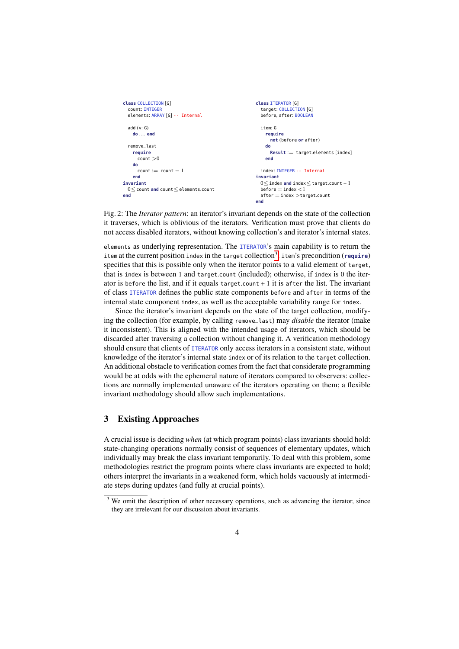```
class COLLECTION [G]
 count: INTEGER
 elements: ARRAY [G] -- Internal
 add (v: G)
   do . . . end
  remove_last
   require
     count > 0do
     count := count - 1end
invariant
 0≤ count and count≤ elements.count
end
                                                       class ITERATOR [G]
                                                         target: COLLECTION [G]
                                                         before, after: BOOLEAN
                                                         item: G
                                                           require
                                                             not (before or after)
                                                           do
                                                             Result := target.elements [index]
                                                           end
                                                         index: INTEGER -- Internal
                                                       invariant
                                                         0≤ index and index≤ target.count + 1
                                                         before = index < 1after = index >\ntarget.count
                                                       end
```
Fig. 2: The *Iterator pattern*: an iterator's invariant depends on the state of the collection it traverses, which is oblivious of the iterators. Verification must prove that clients do not access disabled iterators, without knowing collection's and iterator's internal states.

elements as underlying representation. The ITERATOR's main capability is to return the item at the current position index in the target collection[3](#page-3-2) . item's precondition (**require**) specifies that this is possible only when the iterator points to a valid element of target, that is index is between 1 and target.count (included); otherwise, if index is 0 the iterator is before the list, and if it equals target.count  $+1$  it is after the list. The invariant of class ITERATOR defines the public state components before and after in terms of the internal state component index, as well as the acceptable variability range for index.

Since the iterator's invariant depends on the state of the target collection, modifying the collection (for example, by calling remove\_last) may *disable* the iterator (make it inconsistent). This is aligned with the intended usage of iterators, which should be discarded after traversing a collection without changing it. A verification methodology should ensure that clients of ITERATOR only access iterators in a consistent state, without knowledge of the iterator's internal state index or of its relation to the target collection. An additional obstacle to verification comes from the fact that considerate programming would be at odds with the ephemeral nature of iterators compared to observers: collections are normally implemented unaware of the iterators operating on them; a flexible invariant methodology should allow such implementations.

## <span id="page-3-0"></span>3 Existing Approaches

A crucial issue is deciding *when* (at which program points) class invariants should hold: state-changing operations normally consist of sequences of elementary updates, which individually may break the class invariant temporarily. To deal with this problem, some methodologies restrict the program points where class invariants are expected to hold; others interpret the invariants in a weakened form, which holds vacuously at intermediate steps during updates (and fully at crucial points).

<span id="page-3-2"></span><sup>&</sup>lt;sup>3</sup> We omit the description of other necessary operations, such as advancing the iterator, since they are irrelevant for our discussion about invariants.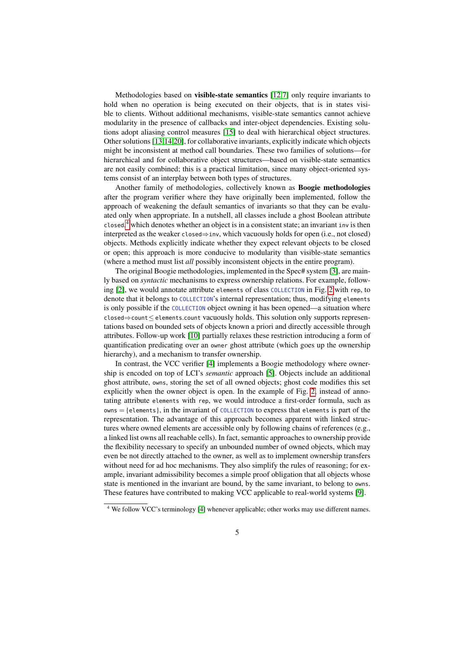Methodologies based on visible-state semantics [\[12,](#page-15-15)[7\]](#page-15-16) only require invariants to hold when no operation is being executed on their objects, that is in states visible to clients. Without additional mechanisms, visible-state semantics cannot achieve modularity in the presence of callbacks and inter-object dependencies. Existing solutions adopt aliasing control measures [\[15\]](#page-15-4) to deal with hierarchical object structures. Other solutions [\[13,](#page-15-17)[14](#page-15-9)[,20\]](#page-15-10), for collaborative invariants, explicitly indicate which objects might be inconsistent at method call boundaries. These two families of solutions—for hierarchical and for collaborative object structures—based on visible-state semantics are not easily combined; this is a practical limitation, since many object-oriented systems consist of an interplay between both types of structures.

Another family of methodologies, collectively known as Boogie methodologies after the program verifier where they have originally been implemented, follow the approach of weakening the default semantics of invariants so that they can be evaluated only when appropriate. In a nutshell, all classes include a ghost Boolean attribute closed, [4](#page-4-0) which denotes whether an object is in a consistent state; an invariant inv is then interpreted as the weaker closed⇒inv, which vacuously holds for open (i.e., not closed) objects. Methods explicitly indicate whether they expect relevant objects to be closed or open; this approach is more conducive to modularity than visible-state semantics (where a method must list *all* possibly inconsistent objects in the entire program).

The original Boogie methodologies, implemented in the Spec# system [\[3\]](#page-15-5), are mainly based on *syntactic* mechanisms to express ownership relations. For example, following [\[2\]](#page-15-2), we would annotate attribute elements of class COLLECTION in Fig. [2](#page-3-1) with rep, to denote that it belongs to COLLECTION's internal representation; thus, modifying elements is only possible if the COLLECTION object owning it has been opened—a situation where closed⇒count≤ elements.count vacuously holds. This solution only supports representations based on bounded sets of objects known a priori and directly accessible through attributes. Follow-up work [\[10\]](#page-15-3) partially relaxes these restriction introducing a form of quantification predicating over an owner ghost attribute (which goes up the ownership hierarchy), and a mechanism to transfer ownership.

In contrast, the VCC verifier [\[4\]](#page-15-6) implements a Boogie methodology where ownership is encoded on top of LCI's *semantic* approach [\[5\]](#page-15-11). Objects include an additional ghost attribute, owns, storing the set of all owned objects; ghost code modifies this set explicitly when the owner object is open. In the example of Fig. [2,](#page-3-1) instead of annotating attribute elements with rep, we would introduce a first-order formula, such as  $owns = {elements}$ , in the invariant of COLLECTION to express that elements is part of the representation. The advantage of this approach becomes apparent with linked structures where owned elements are accessible only by following chains of references (e.g., a linked list owns all reachable cells). In fact, semantic approaches to ownership provide the flexibility necessary to specify an unbounded number of owned objects, which may even be not directly attached to the owner, as well as to implement ownership transfers without need for ad hoc mechanisms. They also simplify the rules of reasoning; for example, invariant admissibility becomes a simple proof obligation that all objects whose state is mentioned in the invariant are bound, by the same invariant, to belong to owns. These features have contributed to making VCC applicable to real-world systems [\[9\]](#page-15-18).

<span id="page-4-0"></span><sup>4</sup> We follow VCC's terminology [\[4\]](#page-15-6) whenever applicable; other works may use different names.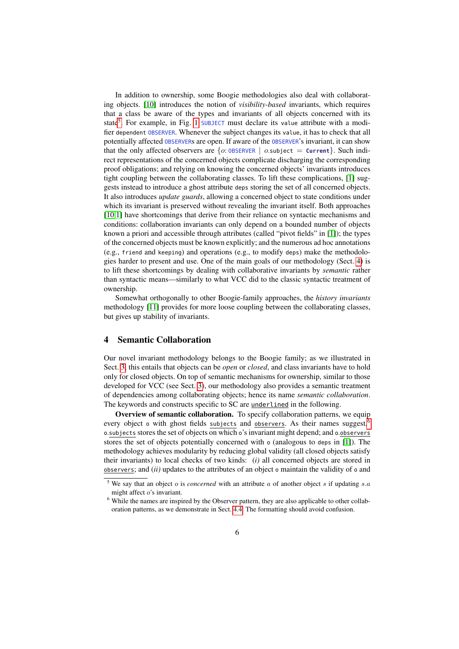In addition to ownership, some Boogie methodologies also deal with collaborating objects. [\[10\]](#page-15-3) introduces the notion of *visibility-based* invariants, which requires that a class be aware of the types and invariants of all objects concerned with its state<sup>[5](#page-5-1)</sup>. For example, in Fig. [1](#page-2-0) SUBJECT must declare its value attribute with a modifier dependent OBSERVER. Whenever the subject changes its value, it has to check that all potentially affected OBSERVERs are open. If aware of the OBSERVER's invariant, it can show that the only affected observers are  $\{o:$  OBSERVER  $\mid$   $o$ . subject = **Current** $\}$ . Such indirect representations of the concerned objects complicate discharging the corresponding proof obligations; and relying on knowing the concerned objects' invariants introduces tight coupling between the collaborating classes. To lift these complications, [\[1\]](#page-15-8) suggests instead to introduce a ghost attribute deps storing the set of all concerned objects. It also introduces *update guards*, allowing a concerned object to state conditions under which its invariant is preserved without revealing the invariant itself. Both approaches [\[10,](#page-15-3)[1\]](#page-15-8) have shortcomings that derive from their reliance on syntactic mechanisms and conditions: collaboration invariants can only depend on a bounded number of objects known a priori and accessible through attributes (called "pivot fields" in [\[1\]](#page-15-8)); the types of the concerned objects must be known explicitly; and the numerous ad hoc annotations (e.g., friend and keeping) and operations (e.g., to modify deps) make the methodologies harder to present and use. One of the main goals of our methodology (Sect. [4\)](#page-5-0) is to lift these shortcomings by dealing with collaborative invariants by *semantic* rather than syntactic means—similarly to what VCC did to the classic syntactic treatment of ownership.

Somewhat orthogonally to other Boogie-family approaches, the *history invariants* methodology [\[11\]](#page-15-12) provides for more loose coupling between the collaborating classes, but gives up stability of invariants.

### <span id="page-5-0"></span>4 Semantic Collaboration

Our novel invariant methodology belongs to the Boogie family; as we illustrated in Sect. [3,](#page-3-0) this entails that objects can be *open* or *closed*, and class invariants have to hold only for closed objects. On top of semantic mechanisms for ownership, similar to those developed for VCC (see Sect. [3\)](#page-3-0), our methodology also provides a semantic treatment of dependencies among collaborating objects; hence its name *semantic collaboration*. The keywords and constructs specific to SC are underlined in the following.

Overview of semantic collaboration. To specify collaboration patterns, we equip every object o with ghost fields subjects and observers. As their names suggest,<sup>[6](#page-5-2)</sup> o.subjects stores the set of objects on which o's invariant might depend; and o.observers stores the set of objects potentially concerned with o (analogous to deps in [\[1\]](#page-15-8)). The methodology achieves modularity by reducing global validity (all closed objects satisfy their invariants) to local checks of two kinds: (*i)* all concerned objects are stored in observers; and (*ii)* updates to the attributes of an object o maintain the validity of o and

<span id="page-5-4"></span><span id="page-5-3"></span><span id="page-5-1"></span> $5$  We say that an object *o* is *concerned* with an attribute *a* of another object *s* if updating *s.a* might affect o's invariant.

<span id="page-5-2"></span><sup>&</sup>lt;sup>6</sup> While the names are inspired by the Observer pattern, they are also applicable to other collaboration patterns, as we demonstrate in Sect. [4.4.](#page-9-0) The formatting should avoid confusion.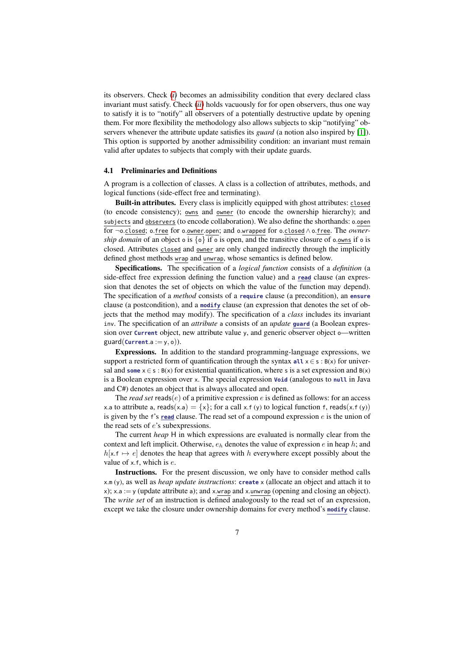its observers. Check (*[i\)](#page-5-3)* becomes an admissibility condition that every declared class invariant must satisfy. Check (*[ii\)](#page-5-4)* holds vacuously for for open observers, thus one way to satisfy it is to "notify" all observers of a potentially destructive update by opening them. For more flexibility the methodology also allows subjects to skip "notifying" observers whenever the attribute update satisfies its *guard* (a notion also inspired by [\[1\]](#page-15-8)). This option is supported by another admissibility condition: an invariant must remain valid after updates to subjects that comply with their update guards.

#### 4.1 Preliminaries and Definitions

A program is a collection of classes. A class is a collection of attributes, methods, and logical functions (side-effect free and terminating).

Built-in attributes. Every class is implicitly equipped with ghost attributes: closed (to encode consistency); owns and owner (to encode the ownership hierarchy); and subjects and observers (to encode collaboration). We also define the shorthands: o.open for ¬o.closed; o.free for o.owner.open; and o.wrapped for o.closed ∧ o.free. The *ownership domain* of an object o is  $\{o\}$  if o is open, and the transitive closure of o.owns if o is closed. Attributes closed and owner are only changed indirectly through the implicitly defined ghost methods wrap and unwrap, whose semantics is defined below.

Specifications. The specification of a *logical function* consists of a *definition* (a side-effect free expression defining the function value) and a **read** clause (an expression that denotes the set of objects on which the value of the function may depend). The specification of a *method* consists of a **require** clause (a precondition), an **ensure** clause (a postcondition), and a **modify** clause (an expression that denotes the set of objects that the method may modify). The specification of a *class* includes its invariant inv. The specification of an *attribute* a consists of an *update* **guard** (a Boolean expression over **Current** object, new attribute value y, and generic observer object o—written  $\text{guard}(\text{Current}.a := y, o)$ ).

Expressions. In addition to the standard programming-language expressions, we support a restricted form of quantification through the syntax **all**  $x \in s : B(x)$  for universal and **some**  $x \in s : B(x)$  for existential quantification, where s is a set expression and  $B(x)$ is a Boolean expression over x. The special expression **Void** (analogous to **null** in Java and C#) denotes an object that is always allocated and open.

The *read set* reads( $e$ ) of a primitive expression  $e$  is defined as follows: for an access x.a to attribute a, reads(x.a) = {x}; for a call x.f (y) to logical function f, reads(x.f (y)) is given by the f's **read** clause. The read set of a compound expression e is the union of the read sets of  $e$ 's subexpressions.

The current *heap* H in which expressions are evaluated is normally clear from the context and left implicit. Otherwise,  $e_h$  denotes the value of expression e in heap h; and  $h[x, f \mapsto e]$  denotes the heap that agrees with h everywhere except possibly about the value of  $x.f$ , which is  $e$ .

Instructions. For the present discussion, we only have to consider method calls x.m (y), as well as *heap update instructions*: **create** x (allocate an object and attach it to  $x$ ;  $x.a := y$  (update attribute a); and x.wrap and x.unwrap (opening and closing an object). The *write set* of an instruction is defined analogously to the read set of an expression, except we take the closure under ownership domains for every method's **modify** clause.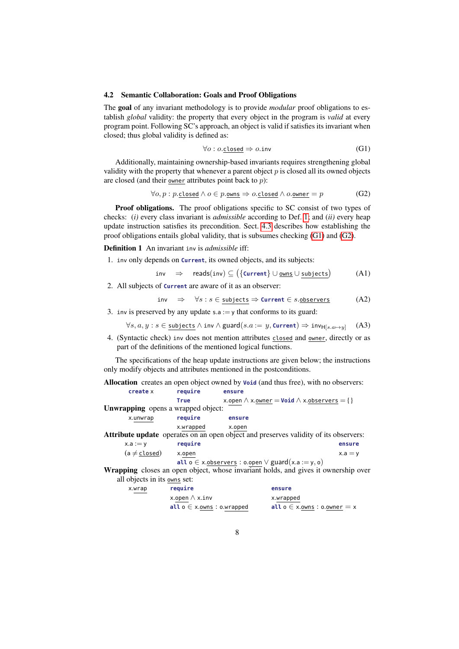#### <span id="page-7-6"></span>4.2 Semantic Collaboration: Goals and Proof Obligations

The goal of any invariant methodology is to provide *modular* proof obligations to establish *global* validity: the property that every object in the program is *valid* at every program point. Following SC's approach, an object is valid if satisfies its invariant when closed; thus global validity is defined as:

<span id="page-7-3"></span><span id="page-7-2"></span><span id="page-7-1"></span>
$$
\forall o: o.\underline{\text{closed}} \Rightarrow o.\text{inv} \tag{G1}
$$

Additionally, maintaining ownership-based invariants requires strengthening global validity with the property that whenever a parent object  $p$  is closed all its owned objects are closed (and their  $\omega$ mer attributes point back to  $p$ ):

$$
\forall o, p : p.\text{closed} \land o \in p.\text{own} \Rightarrow o.\text{closed} \land o.\text{own} = p \tag{G2}
$$

Proof obligations. The proof obligations specific to SC consist of two types of checks: (*i)* every class invariant is *admissible* according to Def. [1;](#page-7-0) and (*ii)* every heap update instruction satisfies its precondition. Sect. [4.3](#page-8-0) describes how establishing the proof obligations entails global validity, that is subsumes checking [\(G1\)](#page-7-1) and [\(G2\)](#page-7-2).

<span id="page-7-0"></span>Definition 1 An invariant inv is *admissible* iff:

1. inv only depends on **Current**, its owned objects, and its subjects:

$$
\mathsf{inv} \quad \Rightarrow \quad \mathsf{reads}(\mathsf{inv}) \subseteq \big( \{ \mathsf{Current} \} \cup \mathsf{owns} \cup \mathsf{subjects} \big) \tag{A1}
$$

2. All subjects of **Current** are aware of it as an observer:

<span id="page-7-5"></span><span id="page-7-4"></span>
$$
\mathsf{inv} \quad \Rightarrow \quad \forall s : s \in \mathsf{subjects} \Rightarrow \mathsf{Current} \in s.\mathtt{observers} \tag{A2}
$$

3. inv is preserved by any update  $s.a := y$  that conforms to its guard:

 $\forall s, a, y : s \in \textsf{subjects} \land \textsf{inv} \land \textsf{guard}(s.a := y, \textsf{Current}) \Rightarrow \textsf{inv}_{H[s,a \mapsto y]}$ (A3)

4. (Syntactic check) inv does not mention attributes closed and owner, directly or as part of the definitions of the mentioned logical functions.

The specifications of the heap update instructions are given below; the instructions only modify objects and attributes mentioned in the postconditions.

Allocation creates an open object owned by **Void** (and thus free), with no observers: **create** x **require ensure**

|                              | .                                         |                                                                                                              |  |
|------------------------------|-------------------------------------------|--------------------------------------------------------------------------------------------------------------|--|
|                              | <b>True</b>                               | x.open $\wedge$ x.owner = <b>Void</b> $\wedge$ x.observers = {}                                              |  |
|                              | <b>Unwrapping</b> opens a wrapped object: |                                                                                                              |  |
| x.unwrap                     | require                                   | ensure                                                                                                       |  |
|                              | x.wrapped                                 | x.open                                                                                                       |  |
|                              |                                           | <b>Attribute update</b> operates on an open object and preserves validity of its observers:                  |  |
| $x.a := y$                   | require                                   | ensure                                                                                                       |  |
| $(a \neq c \text{losed})$    | x.open                                    | $x.a = y$                                                                                                    |  |
|                              |                                           | <b>all</b> $o \in x.\overline{\text{observers}}$ : $o.\overline{\text{open}} \vee \text{guard}(x.a := y, o)$ |  |
|                              |                                           | <b>Wrapping</b> closes an open object, whose invariant holds, and gives it ownership over                    |  |
| all objects in its owns set: |                                           |                                                                                                              |  |
| x.wrap                       | require                                   | ensure                                                                                                       |  |
|                              | x.open $\wedge$ x.inv                     | x.wrapped                                                                                                    |  |
|                              | all $o \in x$ .owns: o.wrapped            | all $o \in x$ .owns: o.owner = x                                                                             |  |
|                              |                                           |                                                                                                              |  |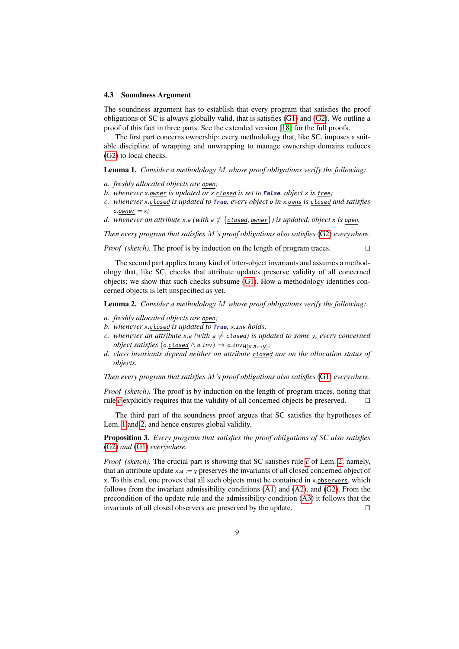#### <span id="page-8-0"></span>4.3 Soundness Argument

The soundness argument has to establish that every program that satisfies the proof obligations of SC is always globally valid, that is satisfies [\(G1\)](#page-7-1) and [\(G2\)](#page-7-2). We outline a proof of this fact in three parts. See the extended version [\[18\]](#page-15-14) for the full proofs.

The first part concerns ownership: every methodology that, like SC, imposes a suitable discipline of wrapping and unwrapping to manage ownership domains reduces [\(G2\)](#page-7-2) to local checks.

<span id="page-8-2"></span>Lemma 1. *Consider a methodology* M *whose proof obligations verify the following:*

- *a. freshly allocated objects are* open*;*
- *b. whenever* x*.*owner *is updated or* x*.*closed *is set to* **False***, object* x *is* free*;*
- *c. whenever* x*.*closed *is updated to* **True***, every object* o *in* x*.*owns *is* closed *and satisfies*  $o.$ *owner* =  $x$ ;
- *d.* whenever an attribute x.a (with a  $\notin$  {closed, <u>owner</u>}) is updated, object x is open.

*Then every program that satisfies* M*'s proof obligations also satisfies* [\(G2\)](#page-7-2) *everywhere.*

*Proof (sketch)*. The proof is by induction on the length of program traces.  $\square$ 

The second part applies to any kind of inter-object invariants and assumes a methodology that, like SC, checks that attribute updates preserve validity of all concerned objects; we show that such checks subsume [\(G1\)](#page-7-1). How a methodology identifies concerned objects is left unspecified as yet.

<span id="page-8-3"></span>Lemma 2. *Consider a methodology* M *whose proof obligations verify the following:*

- *a. freshly allocated objects are* open*;*
- *b. whenever* x*.*closed *is updated to* **True***,* x*.*inv *holds;*
- <span id="page-8-1"></span>*c. whenever an attribute* x*.a (with*  $a \neq c$  losed) is updated to some y, every concerned  $object$  satisfies  $(o.\underline{closed} \land o.\textit{inv}) \Rightarrow o.\textit{inv}_{H[X.a \mapsto Y]};$
- *d. class invariants depend neither on attribute* closed *nor on the allocation status of objects.*

*Then every program that satisfies* M*'s proof obligations also satisfies* [\(G1\)](#page-7-1) *everywhere.*

*Proof (sketch).* The proof is by induction on the length of program traces, noting that rule  $c$  explicitly requires that the validity of all concerned objects be preserved.  $\square$ 

The third part of the soundness proof argues that SC satisfies the hypotheses of Lem. [1](#page-8-2) and [2,](#page-8-3) and hence ensures global validity.

Proposition 3. *Every program that satisfies the proof obligations of SC also satisfies* [\(G2\)](#page-7-2) *and* [\(G1\)](#page-7-1) *everywhere.*

*Proof (sketch).* The crucial part is showing that SC satisfies rule *[c](#page-8-1)* of Lem. [2;](#page-8-3) namely, that an attribute update  $x.a := y$  preserves the invariants of all closed concerned object of x. To this end, one proves that all such objects must be contained in x.observers, which follows from the invariant admissibility conditions [\(A1\)](#page-7-3) and [\(A2\)](#page-7-4), and [\(G2\)](#page-7-2). From the precondition of the update rule and the admissibility condition [\(A3\)](#page-7-5) it follows that the invariants of all closed observers are preserved by the update.  $\Box$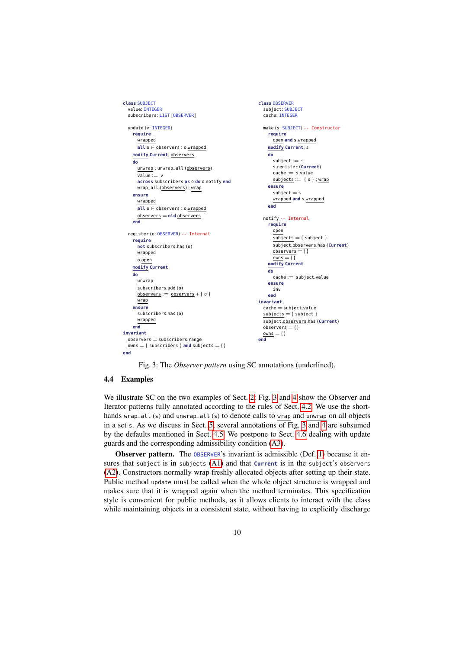```
class SUBJECT
  value: INTEGER
  subscribers: LIST [OBSERVER]
  update (v: INTEGER)
    require
      wrapped
      all o ∈ observers : o.wrapped
    modify Current, observers
    do
      unwrap ; unwrap_all (observers)
      \overline{\text{value}} = vacross subscribers as o do o.notify end
      wrap_all (observers) ; wrap
    ensure
      wrapped
      all o ∈ observers : o.wrapped
      observers = old observers
    end
  register (o: OBSERVER) -- Internal
    require
      not subscribers.has (o)
      wrapped
     o.open
    modify Current
    do
      unwrap
      subscribers.add (o)
      observers := observers + { o }\overline{w}rap
    ensure
      subscribers.has (o)
      wrapped
    end
invariant
 observes = subscribes, range\overline{\text{own}} = \{\text{subscripts } \} and \overline{\text{subjects}} = \{\}end
                                                           class OBSERVER
                                                             subject: SUBJECT
                                                             cache: INTEGER
                                                             make (s: SUBJECT) -- Constructor
                                                               require
                                                                 open and s.wrapped
                                                               modify Current, s
                                                               do
                                                                 subject := s
                                                                 s.register (Current)
                                                                 \text{cache} := \text{s.value}subjects := \{ s \}; wrap
                                                               ensure
                                                                 subject = swrapped and s.wrapped
                                                               end
                                                             notify -- Internal
                                                               require
                                                                 open
                                                                 subjects = { subject}subject.observers.has (Current)
                                                                 observes = \{\}owns = \{\}modify Current
                                                               do
                                                                 cache := subject.valueensure
                                                                 inv
                                                               end
                                                           invariant
                                                             cache = subject.value
                                                             subjects = {subject}subject.observers.has (Current)
                                                             observers = {\}owns = \{\}end
```
Fig. 3: The *Observer pattern* using SC annotations (underlined).

#### <span id="page-9-0"></span>4.4 Examples

We illustrate SC on the two examples of Sect. [2:](#page-1-0) Fig. [3](#page-9-1) and [4](#page-10-0) show the Observer and Iterator patterns fully annotated according to the rules of Sect. [4.2.](#page-7-6) We use the shorthands wrap\_all (s) and unwrap\_all (s) to denote calls to wrap and unwrap on all objects in a set s. As we discuss in Sect. [5,](#page-12-0) several annotations of Fig. [3](#page-9-1) and [4](#page-10-0) are subsumed by the defaults mentioned in Sect. [4.5.](#page-11-0) We postpone to Sect. [4.6](#page-11-1) dealing with update guards and the corresponding admissibility condition [\(A3\)](#page-7-5).

**Observer pattern.** The OBSERVER's invariant is admissible (Def. [1\)](#page-7-0) because it ensures that subject is in subjects [\(A1\)](#page-7-3) and that **Current** is in the subject's observers [\(A2\)](#page-7-4). Constructors normally wrap freshly allocated objects after setting up their state. Public method update must be called when the whole object structure is wrapped and makes sure that it is wrapped again when the method terminates. This specification style is convenient for public methods, as it allows clients to interact with the class while maintaining objects in a consistent state, without having to explicitly discharge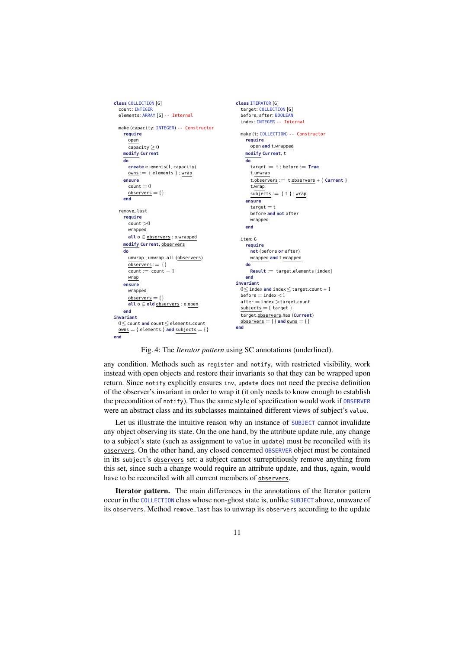```
class COLLECTION [G]
  count: INTEGER
  elements: ARRAY [G] -- Internal
  make (capacity: INTEGER) -- Constructor
    require
      open
      \overline{\text{capacity}} \geq 0modify Current
    do
      create elements(1, capacity)
      owns := { elements }; wrap
    ensure
      count = 0observers = \{\}end
  remove_last
    require
     \frac{1}{\text{count}} > 0wrapped
      all o ∈ observers : o.wrapped
    modify Current, observers
    do
      unwrap ; unwrap_all (observers)
      \overline{\text{observers}} := \{\}count := count - 1wrap
    ensure
      wrapped
      \overline{\text{observes}} = \{\}all o ∈ old observers : o.open
    end
invariant
 0≤ count and count≤ elements.count
  owns = \{ elements \} and subjects = \{\}end
                                                     class ITERATOR [G]
                                                       target: COLLECTION [G]
                                                       before, after: BOOLEAN
                                                       index: INTEGER -- Internal
                                                       make (t: COLLECTION) -- Constructor
                                                         require
                                                           open and t.wrapped
                                                         modify Current, t
                                                         do
                                                           target := t ; before := True
                                                           t.unwrap
                                                           t.observers := t.observers + { Current }
                                                           t.wrap
                                                           subjects := { t }; wrap
                                                         ensure
                                                           target = tbefore and not after
                                                           wrapped
                                                         end
                                                       item: G
                                                         require
                                                           not (before or after)
                                                           wrapped and t.wrapped
                                                         do
                                                           Result := target.elements [index]
                                                         end
                                                     invariant
                                                       0≤ index and index≤ target.count + 1
                                                       before = index < 1after = index >\ntarget.count
                                                       subjects = { target }target.observers.has (Current)
                                                       observers = \{\} and owns = \{\}end
```
Fig. 4: The *Iterator pattern* using SC annotations (underlined).

any condition. Methods such as register and notify, with restricted visibility, work instead with open objects and restore their invariants so that they can be wrapped upon return. Since notify explicitly ensures inv, update does not need the precise definition of the observer's invariant in order to wrap it (it only needs to know enough to establish the precondition of notify). Thus the same style of specification would work if OBSERVER were an abstract class and its subclasses maintained different views of subject's value.

Let us illustrate the intuitive reason why an instance of SUBJECT cannot invalidate any object observing its state. On the one hand, by the attribute update rule, any change to a subject's state (such as assignment to value in update) must be reconciled with its observers. On the other hand, any closed concerned OBSERVER object must be contained in its subject's observers set: a subject cannot surreptitiously remove anything from this set, since such a change would require an attribute update, and thus, again, would have to be reconciled with all current members of observers.

Iterator pattern. The main differences in the annotations of the Iterator pattern occur in the COLLECTION class whose non-ghost state is, unlike SUBJECT above, unaware of its observers. Method remove\_last has to unwrap its observers according to the update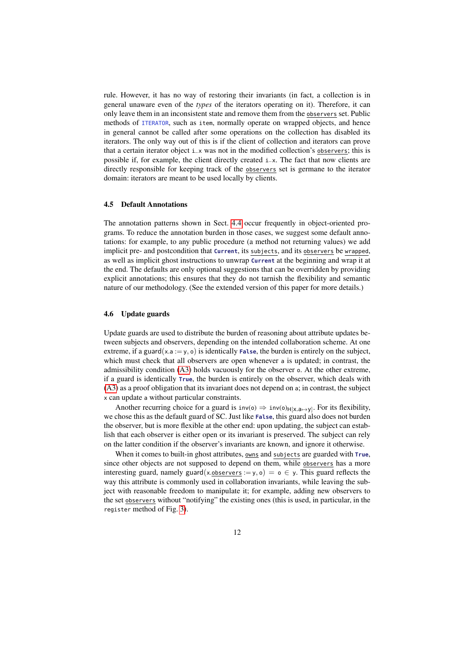rule. However, it has no way of restoring their invariants (in fact, a collection is in general unaware even of the *types* of the iterators operating on it). Therefore, it can only leave them in an inconsistent state and remove them from the observers set. Public methods of ITERATOR, such as item, normally operate on wrapped objects, and hence in general cannot be called after some operations on the collection has disabled its iterators. The only way out of this is if the client of collection and iterators can prove that a certain iterator object  $i_x$  was not in the modified collection's observers; this is possible if, for example, the client directly created  $i_{-}x$ . The fact that now clients are directly responsible for keeping track of the observers set is germane to the iterator domain: iterators are meant to be used locally by clients.

## <span id="page-11-0"></span>4.5 Default Annotations

The annotation patterns shown in Sect. [4.4](#page-9-0) occur frequently in object-oriented programs. To reduce the annotation burden in those cases, we suggest some default annotations: for example, to any public procedure (a method not returning values) we add implicit pre- and postcondition that **Current**, its subjects, and its observers be wrapped, as well as implicit ghost instructions to unwrap **Current** at the beginning and wrap it at the end. The defaults are only optional suggestions that can be overridden by providing explicit annotations; this ensures that they do not tarnish the flexibility and semantic nature of our methodology. (See the extended version of this paper for more details.)

#### <span id="page-11-1"></span>4.6 Update guards

Update guards are used to distribute the burden of reasoning about attribute updates between subjects and observers, depending on the intended collaboration scheme. At one extreme, if a guard( $x.a := y, o$ ) is identically **False**, the burden is entirely on the subject, which must check that all observers are open whenever a is updated; in contrast, the admissibility condition [\(A3\)](#page-7-5) holds vacuously for the observer o. At the other extreme, if a guard is identically **True**, the burden is entirely on the observer, which deals with [\(A3\)](#page-7-5) as a proof obligation that its invariant does not depend on a; in contrast, the subject x can update a without particular constraints.

Another recurring choice for a guard is  $inv(o) \Rightarrow inv(o)_{H[x.a \rightarrow y]}$ . For its flexibility, we chose this as the default guard of SC. Just like **False**, this guard also does not burden the observer, but is more flexible at the other end: upon updating, the subject can establish that each observer is either open or its invariant is preserved. The subject can rely on the latter condition if the observer's invariants are known, and ignore it otherwise.

When it comes to built-in ghost attributes, owns and subjects are guarded with **True**, since other objects are not supposed to depend on them, while observers has a more interesting guard, namely guard(x.observers := y, o) =  $\circ \in$  y. This guard reflects the way this attribute is commonly used in collaboration invariants, while leaving the subject with reasonable freedom to manipulate it; for example, adding new observers to the set observers without "notifying" the existing ones (this is used, in particular, in the register method of Fig. [3\)](#page-9-1).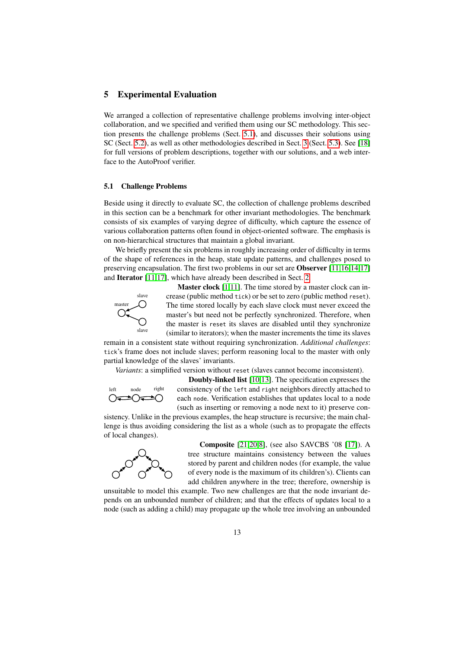## <span id="page-12-0"></span>5 Experimental Evaluation

We arranged a collection of representative challenge problems involving inter-object collaboration, and we specified and verified them using our SC methodology. This section presents the challenge problems (Sect. [5.1\)](#page-12-1), and discusses their solutions using SC (Sect. [5.2\)](#page-13-0), as well as other methodologies described in Sect. [3](#page-3-0) (Sect. [5.3\)](#page-14-0). See [\[18\]](#page-15-14) for full versions of problem descriptions, together with our solutions, and a web interface to the AutoProof verifier.

#### <span id="page-12-1"></span>5.1 Challenge Problems

Beside using it directly to evaluate SC, the collection of challenge problems described in this section can be a benchmark for other invariant methodologies. The benchmark consists of six examples of varying degree of difficulty, which capture the essence of various collaboration patterns often found in object-oriented software. The emphasis is on non-hierarchical structures that maintain a global invariant.

We briefly present the six problems in roughly increasing order of difficulty in terms of the shape of references in the heap, state update patterns, and challenges posed to preserving encapsulation. The first two problems in our set are Observer [\[11](#page-15-12)[,16](#page-15-1)[,14](#page-15-9)[,17\]](#page-15-13) and Iterator [\[11,](#page-15-12)[17\]](#page-15-13), which have already been described in Sect. [2.](#page-1-0)



Master clock [\[1,](#page-15-8)[11\]](#page-15-12). The time stored by a master clock can increase (public method tick) or be set to zero (public method reset). The time stored locally by each slave clock must never exceed the master's but need not be perfectly synchronized. Therefore, when the master is reset its slaves are disabled until they synchronize (similar to iterators); when the master increments the time its slaves

remain in a consistent state without requiring synchronization. *Additional challenges*: tick's frame does not include slaves; perform reasoning local to the master with only partial knowledge of the slaves' invariants.

*Variants*: a simplified version without reset (slaves cannot become inconsistent).

$$
\bigcirc \hspace{-5pt}\longrightarrow\hspace{-5pt} \overbrace{\bigcirc\hspace{-5pt}}^{\text{left}}\hspace{-5pt}\longrightarrow\hspace{-5pt} \overbrace{\bigcirc\hspace{-5pt}}^{\text{right}}
$$

Doubly-linked list [\[10](#page-15-3)[,13\]](#page-15-17). The specification expresses the consistency of the left and right neighbors directly attached to each node. Verification establishes that updates local to a node (such as inserting or removing a node next to it) preserve con-

sistency. Unlike in the previous examples, the heap structure is recursive; the main challenge is thus avoiding considering the list as a whole (such as to propagate the effects of local changes).



Composite [\[21,](#page-15-0)[20,](#page-15-10)[8\]](#page-15-19), (see also SAVCBS '08 [\[17\]](#page-15-13)). A tree structure maintains consistency between the values stored by parent and children nodes (for example, the value of every node is the maximum of its children's). Clients can add children anywhere in the tree; therefore, ownership is

unsuitable to model this example. Two new challenges are that the node invariant depends on an unbounded number of children; and that the effects of updates local to a node (such as adding a child) may propagate up the whole tree involving an unbounded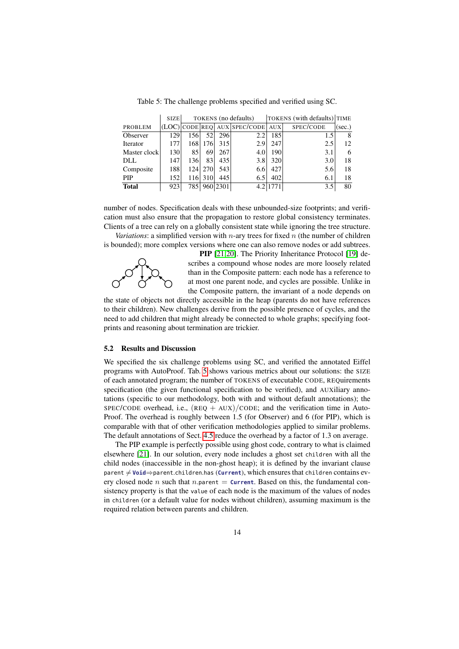Table 5: The challenge problems specified and verified using SC.

<span id="page-13-1"></span>

|                 | <b>SIZE</b> | TOKENS (no defaults) |     |          |                                  |      | TOKENS (with defaults) TIME |        |
|-----------------|-------------|----------------------|-----|----------|----------------------------------|------|-----------------------------|--------|
| <b>PROBLEM</b>  |             |                      |     |          | (LOC) CODE RED AUX SPEC/CODE AUX |      | SPEC/CODE                   | (sec.) |
| Observer        | 129         | 156                  | 52  | 296      | 2.2                              | 185  |                             |        |
| <b>Iterator</b> | 177         | 168                  | 176 | 315      | 2.9                              | 247  | 2.5                         | 12     |
| Master clock    | 130         | 85                   | 69  | 267      | 4.0                              | 190  | 3.1                         | 6      |
| DLL.            | 147         | 136                  | 83  | 4351     | 3.8                              | 320  | 3.0 <sub>l</sub>            | 18     |
| Composite       | 188         | 124                  | 270 | 543      | 6.6                              | 427  | 5.6                         | 18     |
| <b>PIP</b>      | 152         | 116                  | 310 | 445      | 6.5                              | 402  | 6.1                         | 18     |
| <b>Total</b>    | 923         | 7851                 |     | 960 2301 | 4.2 <sub>1</sub>                 | 1771 | 3.5                         | 80     |

number of nodes. Specification deals with these unbounded-size footprints; and verification must also ensure that the propagation to restore global consistency terminates. Clients of a tree can rely on a globally consistent state while ignoring the tree structure.

*Variations*: a simplified version with  $n$ -ary trees for fixed  $n$  (the number of children is bounded); more complex versions where one can also remove nodes or add subtrees.



PIP [\[21,](#page-15-0)[20\]](#page-15-10). The Priority Inheritance Protocol [\[19\]](#page-15-20) describes a compound whose nodes are more loosely related than in the Composite pattern: each node has a reference to at most one parent node, and cycles are possible. Unlike in the Composite pattern, the invariant of a node depends on

the state of objects not directly accessible in the heap (parents do not have references to their children). New challenges derive from the possible presence of cycles, and the need to add children that might already be connected to whole graphs; specifying footprints and reasoning about termination are trickier.

#### <span id="page-13-0"></span>5.2 Results and Discussion

We specified the six challenge problems using SC, and verified the annotated Eiffel programs with AutoProof. Tab. [5](#page-13-1) shows various metrics about our solutions: the SIZE of each annotated program; the number of TOKENS of executable CODE, REQuirements specification (the given functional specification to be verified), and AUXiliary annotations (specific to our methodology, both with and without default annotations); the SPEC/CODE overhead, i.e.,  $(REQ + AUX)/CODE$ ; and the verification time in Auto-Proof. The overhead is roughly between 1.5 (for Observer) and 6 (for PIP), which is comparable with that of other verification methodologies applied to similar problems. The default annotations of Sect. [4.5](#page-11-0) reduce the overhead by a factor of 1.3 on average.

The PIP example is perfectly possible using ghost code, contrary to what is claimed elsewhere [\[21\]](#page-15-0). In our solution, every node includes a ghost set children with all the child nodes (inaccessible in the non-ghost heap); it is defined by the invariant clause parent ≠ **Void**⇒parent.children.has (**Current**), which ensures that children contains every closed node n such that  $n$  parent  $=$  **Current**. Based on this, the fundamental consistency property is that the value of each node is the maximum of the values of nodes in children (or a default value for nodes without children), assuming maximum is the required relation between parents and children.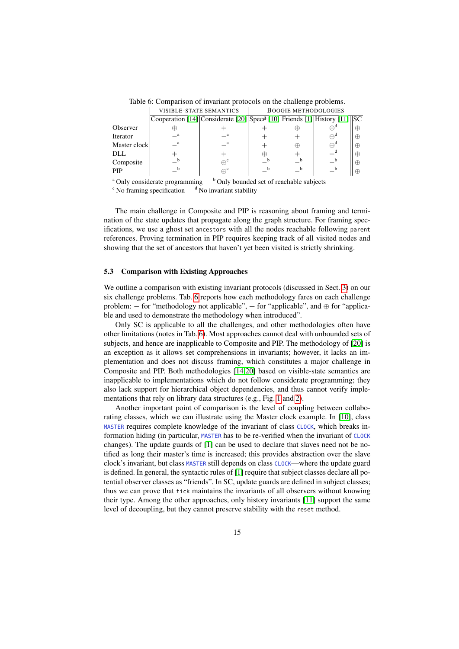Table 6: Comparison of invariant protocols on the challenge problems.  $V = V$ 

<span id="page-14-1"></span>

|                 | VISIBLE-STATE SEMANTICS                                                  | <b>BOOGIE METHODOLOGIES</b> |  |  |                        |             |
|-----------------|--------------------------------------------------------------------------|-----------------------------|--|--|------------------------|-------------|
|                 | Cooperation [14] Considerate [20] Spec# [10] Friends [1] History [11] SC |                             |  |  |                        |             |
| Observer        |                                                                          |                             |  |  |                        | ↔           |
| <b>Iterator</b> |                                                                          |                             |  |  | $\oplus$               | $_{\oplus}$ |
| Master clock    | - a                                                                      |                             |  |  | $\oplus^{\mathfrak c}$ | ↔           |
| DLL             |                                                                          |                             |  |  |                        | ↔           |
| Composite       |                                                                          |                             |  |  |                        | ↔           |
| PIP             |                                                                          |                             |  |  |                        | ↔           |

 $a$  Only considerate programming  $b$  Only bounded set of reachable subjects

 $\degree$  No framing specification  $\degree$  No invariant stability

The main challenge in Composite and PIP is reasoning about framing and termination of the state updates that propagate along the graph structure. For framing specifications, we use a ghost set ancestors with all the nodes reachable following parent references. Proving termination in PIP requires keeping track of all visited nodes and showing that the set of ancestors that haven't yet been visited is strictly shrinking.

#### <span id="page-14-0"></span>5.3 Comparison with Existing Approaches

We outline a comparison with existing invariant protocols (discussed in Sect. [3\)](#page-3-0) on our six challenge problems. Tab. [6](#page-14-1) reports how each methodology fares on each challenge problem:  $-$  for "methodology not applicable",  $+$  for "applicable", and  $\oplus$  for "applicable and used to demonstrate the methodology when introduced".

Only SC is applicable to all the challenges, and other methodologies often have other limitations (notes in Tab. [6\)](#page-14-1). Most approaches cannot deal with unbounded sets of subjects, and hence are inapplicable to Composite and PIP. The methodology of [\[20\]](#page-15-10) is an exception as it allows set comprehensions in invariants; however, it lacks an implementation and does not discuss framing, which constitutes a major challenge in Composite and PIP. Both methodologies [\[14](#page-15-9)[,20\]](#page-15-10) based on visible-state semantics are inapplicable to implementations which do not follow considerate programming; they also lack support for hierarchical object dependencies, and thus cannot verify implementations that rely on library data structures (e.g., Fig. [1](#page-2-0) and [2\)](#page-3-1).

Another important point of comparison is the level of coupling between collaborating classes, which we can illustrate using the Master clock example. In [\[10\]](#page-15-3), class MASTER requires complete knowledge of the invariant of class CLOCK, which breaks information hiding (in particular, MASTER has to be re-verified when the invariant of CLOCK changes). The update guards of [\[1\]](#page-15-8) can be used to declare that slaves need not be notified as long their master's time is increased; this provides abstraction over the slave clock's invariant, but class MASTER still depends on class CLOCK—where the update guard is defined. In general, the syntactic rules of [\[1\]](#page-15-8) require that subject classes declare all potential observer classes as "friends". In SC, update guards are defined in subject classes; thus we can prove that tick maintains the invariants of all observers without knowing their type. Among the other approaches, only history invariants [\[11\]](#page-15-12) support the same level of decoupling, but they cannot preserve stability with the reset method.